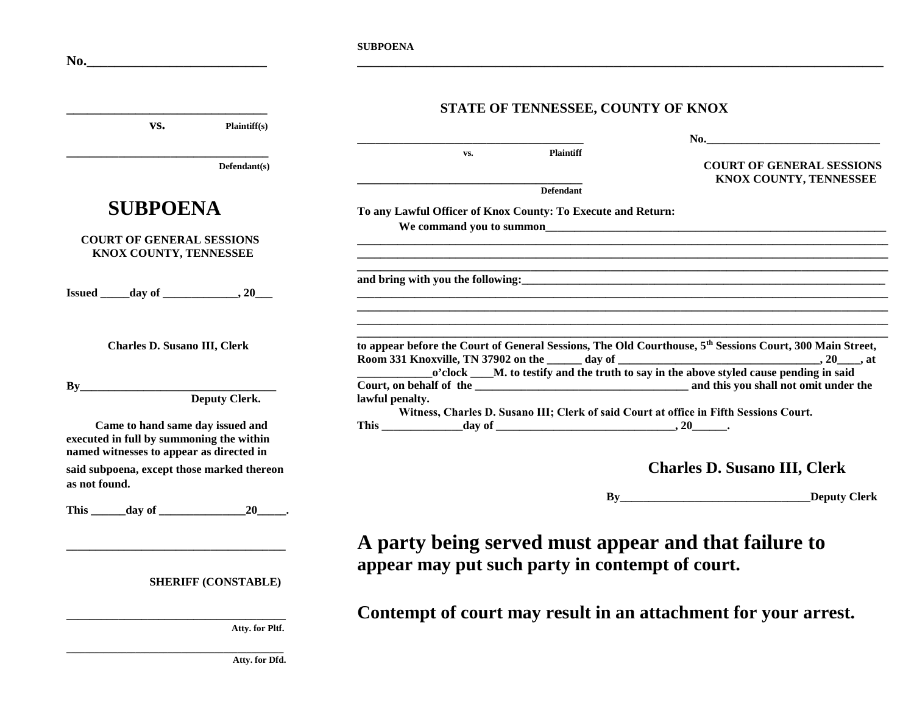| No.                                                                                                                      | <b>SUBPOENA</b>                                                                                                                                                                                                  |                                                                               |
|--------------------------------------------------------------------------------------------------------------------------|------------------------------------------------------------------------------------------------------------------------------------------------------------------------------------------------------------------|-------------------------------------------------------------------------------|
| VS.<br>Plaintiff(s)                                                                                                      | STATE OF TENNESSEE, COUNTY OF KNOX                                                                                                                                                                               |                                                                               |
| Defendant(s)                                                                                                             | <b>Plaintiff</b><br>VS.<br><b>Defendant</b>                                                                                                                                                                      | $\mathbf{No}$ .<br><b>COURT OF GENERAL SESSIONS</b><br>KNOX COUNTY, TENNESSEE |
| <b>SUBPOENA</b><br><b>COURT OF GENERAL SESSIONS</b><br>KNOX COUNTY, TENNESSEE                                            | To any Lawful Officer of Knox County: To Execute and Return:<br>We command you to summon<br><u> 2000 - Jan James James Jan James James James James James James James James James James James James James Jam</u> |                                                                               |
| $Issued$ $day of$ $, 20$                                                                                                 |                                                                                                                                                                                                                  |                                                                               |
| <b>Charles D. Susano III, Clerk</b><br>By<br><b>Deputy Clerk.</b>                                                        | to appear before the Court of General Sessions, The Old Courthouse, 5 <sup>th</sup> Sessions Court, 300 Main Street,<br>lawful penalty.                                                                          |                                                                               |
| Came to hand same day issued and<br>executed in full by summoning the within<br>named witnesses to appear as directed in | Witness, Charles D. Susano III; Clerk of said Court at office in Fifth Sessions Court.                                                                                                                           |                                                                               |
| said subpoena, except those marked thereon<br>as not found.                                                              | <b>Charles D. Susano III, Clerk</b>                                                                                                                                                                              |                                                                               |
|                                                                                                                          |                                                                                                                                                                                                                  | By Deputy Clerk                                                               |
| <b>SHERIFF (CONSTABLE)</b>                                                                                               | A party being served must appear and that failure to<br>appear may put such party in contempt of court.                                                                                                          |                                                                               |
| Atty. for Pltf.                                                                                                          | Contempt of court may result in an attachment for your arrest.                                                                                                                                                   |                                                                               |

 **Atty. for Dfd.**

**\_\_\_\_\_\_\_\_\_\_\_\_\_\_\_\_\_\_\_\_\_\_\_\_\_\_\_\_\_\_\_\_\_\_\_\_\_\_\_\_\_\_\_\_\_\_\_**